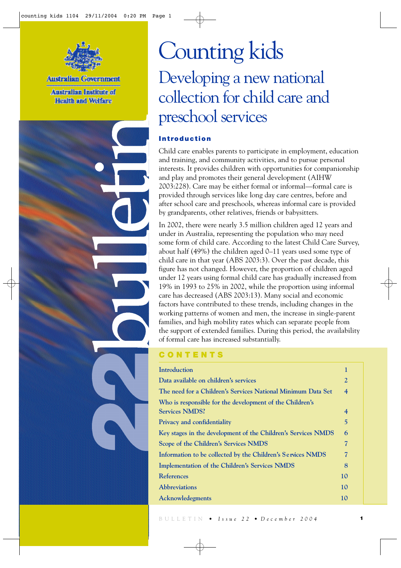

**Australian Government** 

**Australian Institute of Health and Welfare** 

# Counting kids

Developing a new national collection for child care and preschool services

# **Introduction**

Child care enables parents to participate in employment, education and training, and community activities, and to pursue personal interests. It provides children with opportunities for companionship and play and promotes their general development (AIHW 2003:228). Care may be either formal or informal—formal care is provided through services like long day care centres, before and after school care and preschools, whereas informal care is provided by grandparents, other relatives, friends or babysitters.

In 2002, there were nearly 3.5 million children aged 12 years and under in Australia, representing the population who may need some form of child care. According to the latest Child Care Survey, about half (49%) the children aged 0–11 years used some type of child care in that year (ABS 2003:3). Over the past decade, this figure has not changed. However, the proportion of children aged under 12 years using formal child care has gradually increased from 19% in 1993 to 25% in 2002, while the proportion using informal care has decreased (ABS 2003:13). Many social and economic factors have contributed to these trends, including changes in the working patterns of women and men, the increase in single-parent families, and high mobility rates which can separate people from the support of extended families. During this period, the availability of formal care has increased substantially.

# C O N T E N T S

| Introduction                                                  | 1                       |
|---------------------------------------------------------------|-------------------------|
| Data available on children's services                         | 2                       |
| The need for a Children's Services National Minimum Data Set  | $\overline{4}$          |
| Who is responsible for the development of the Children's      |                         |
| <b>Services NMDS?</b>                                         | $\overline{\mathbf{4}}$ |
| Privacy and confidentiality                                   | 5                       |
| Key stages in the development of the Children's Services NMDS | 6                       |
| Scope of the Children's Services NMDS                         | 7                       |
| Information to be collected by the Children's Services NMDS   | 7                       |
| <b>Implementation of the Children's Services NMDS</b>         | 8                       |
| <b>References</b>                                             | 10                      |
| <b>Abbreviations</b>                                          | 10                      |
| <b>Acknowledegments</b>                                       | 10                      |

B U L L E T I N • *I s s u e 2 2* • *D e c e m b e r 2 0 0 4*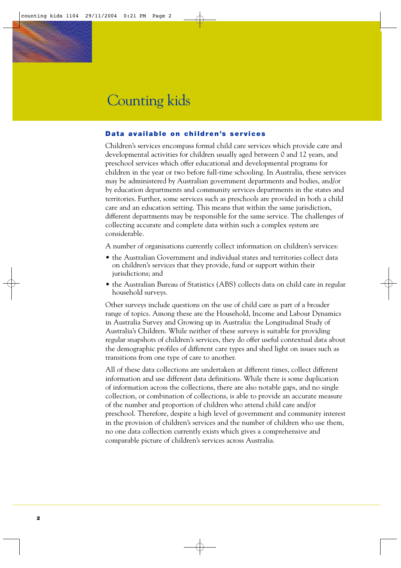#### Data available on children's services

Children's services encompass formal child care services which provide care and developmental activities for children usually aged between 0 and 12 years, and preschool services which offer educational and developmental programs for children in the year or two before full-time schooling. In Australia, these services may be administered by Australian government departments and bodies, and/or by education departments and community services departments in the states and territories. Further, some services such as preschools are provided in both a child care and an education setting. This means that within the same jurisdiction, different departments may be responsible for the same service. The challenges of collecting accurate and complete data within such a complex system are considerable.

A number of organisations currently collect information on children's services:

- the Australian Government and individual states and territories collect data on children's services that they provide, fund or support within their jurisdictions; and
- the Australian Bureau of Statistics (ABS) collects data on child care in regular household surveys.

Other surveys include questions on the use of child care as part of a broader range of topics. Among these are the Household, Income and Labour Dynamics in Australia Survey and Growing up in Australia: the Longitudinal Study of Australia's Children. While neither of these surveys is suitable for providing regular snapshots of children's services, they do offer useful contextual data about the demographic profiles of different care types and shed light on issues such as transitions from one type of care to another.

All of these data collections are undertaken at different times, collect different information and use different data definitions. While there is some duplication of information across the collections, there are also notable gaps, and no single collection, or combination of collections, is able to provide an accurate measure of the number and proportion of children who attend child care and/or preschool. Therefore, despite a high level of government and community interest in the provision of children's services and the number of children who use them, no one data collection currently exists which gives a comprehensive and comparable picture of children's services across Australia.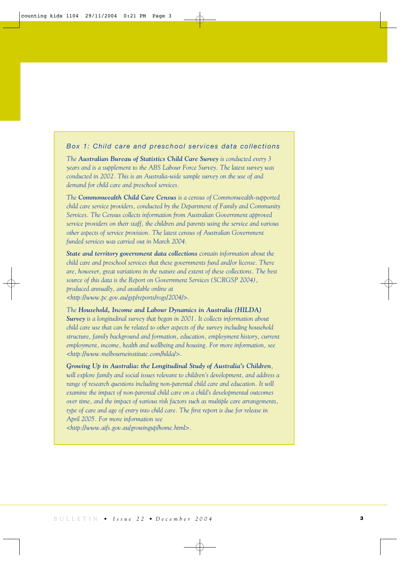#### *Box 1: Child care and preschool ser vices data collections*

*The Australian Bureau of Statistics Child Care Survey is conducted every 3 years and is a supplement to the ABS Labour Force Survey. The latest survey was conducted in 2002. This is an Australia-wide sample survey on the use of and demand for child care and preschool services.* 

*The Commonwealth Child Care Census is a census of Commonwealth-supported child care service providers, conducted by the Department of Family and Community Services. The Census collects information from Australian Government approved service providers on their staff, the children and parents using the service and various other aspects of service provision. The latest census of Australian Government funded services was carried out in March 2004.* 

*State and territory government data collections contain information about the child care and preschool services that these governments fund and/or license. There are, however, great variations in the nature and extent of these collections. The best source of this data is the Report on Government Services (SCRGSP 2004), produced annually, and available online at <http://www.pc.gov.au/gsp/reports/rogs/2004/>.*

*The Household, Income and Labour Dynamics in Australia (HILDA) Survey is a longitudinal survey that began in 2001. It collects information about child care use that can be related to other aspects of the survey including household structure, family background and formation, education, employment history, current employment, income, health and wellbeing and housing. For more information, see <http://www.melbourneinstitute.com/hilda/>.*

*Growing Up in Australia: the Longitudinal Study of Australia's Children, will explore family and social issues relevant to children's development, and address a range of research questions including non-parental child care and education. It will examine the impact of non-parental child care on a child's developmental outcomes over time, and the impact of various risk factors such as multiple care arrangements, type of care and age of entry into child care. The first report is due for release in April 2005. For more information see*

*<http://www.aifs.gov.au/growingup/home.html>.*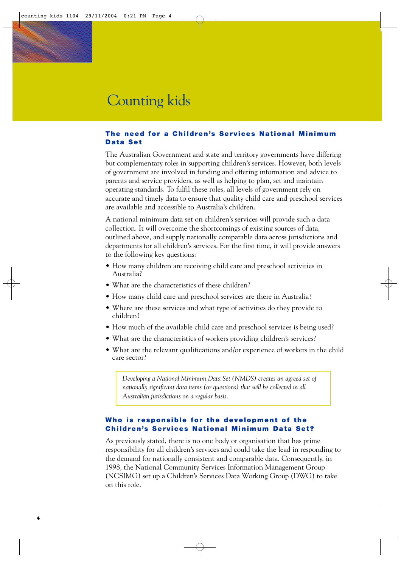### The need for a Children's Services National Minimum Data Set

The Australian Government and state and territory governments have differing but complementary roles in supporting children's services. However, both levels of government are involved in funding and offering information and advice to parents and service providers, as well as helping to plan, set and maintain operating standards. To fulfil these roles, all levels of government rely on accurate and timely data to ensure that quality child care and preschool services are available and accessible to Australia's children.

A national minimum data set on children's services will provide such a data collection. It will overcome the shortcomings of existing sources of data, outlined above, and supply nationally comparable data across jurisdictions and departments for all children's services. For the first time, it will provide answers to the following key questions:

- How many children are receiving child care and preschool activities in Australia?
- What are the characteristics of these children?
- How many child care and preschool services are there in Australia?
- Where are these services and what type of activities do they provide to children?
- How much of the available child care and preschool services is being used?
- What are the characteristics of workers providing children's services?
- What are the relevant qualifications and/or experience of workers in the child care sector?

*Developing a National Minimum Data Set (NMDS) creates an agreed set of nationally significant data items (or questions) that will be collected in all Australian jurisdictions on a regular basis.*

### Who is responsible for the development of the Children's Services National Minimum Data Set?

As previously stated, there is no one body or organisation that has prime responsibility for all children's services and could take the lead in responding to the demand for nationally consistent and comparable data. Consequently, in 1998, the National Community Services Information Management Group (NCSIMG) set up a Children's Services Data Working Group (DWG) to take on this role.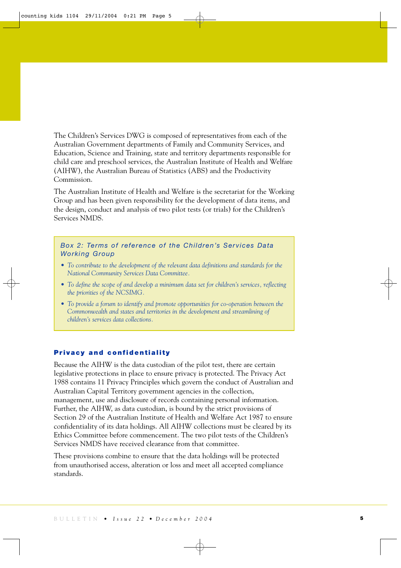The Children's Services DWG is composed of representatives from each of the Australian Government departments of Family and Community Services, and Education, Science and Training, state and territory departments responsible for child care and preschool services, the Australian Institute of Health and Welfare (AIHW), the Australian Bureau of Statistics (ABS) and the Productivity Commission.

The Australian Institute of Health and Welfare is the secretariat for the Working Group and has been given responsibility for the development of data items, and the design, conduct and analysis of two pilot tests (or trials) for the Children's Services NMDS.

## *Box 2: Te rms of re f e rence of the Childre n 's Ser vices Data Working Group*

- *• To contribute to the development of the relevant data definitions and standards for the National Community Services Data Committee.*
- *• To define the scope of and develop a minimum data set for children's services, reflecting the priorities of the NCSIMG.*
- *• To provide a forum to identify and promote opportunities for co-operation between the Commonwealth and states and territories in the development and streamlining of children's services data collections.*

#### **Privacy and confidentiality**

Because the AIHW is the data custodian of the pilot test, there are certain legislative protections in place to ensure privacy is protected. The Privacy Act 1988 contains 11 Privacy Principles which govern the conduct of Australian and Australian Capital Territory government agencies in the collection, management, use and disclosure of records containing personal information. Further, the AIHW, as data custodian, is bound by the strict provisions of Section 29 of the Australian Institute of Health and Welfare Act 1987 to ensure confidentiality of its data holdings. All AIHW collections must be cleared by its Ethics Committee before commencement. The two pilot tests of the Children's Services NMDS have received clearance from that committee.

These provisions combine to ensure that the data holdings will be protected from unauthorised access, alteration or loss and meet all accepted compliance standards.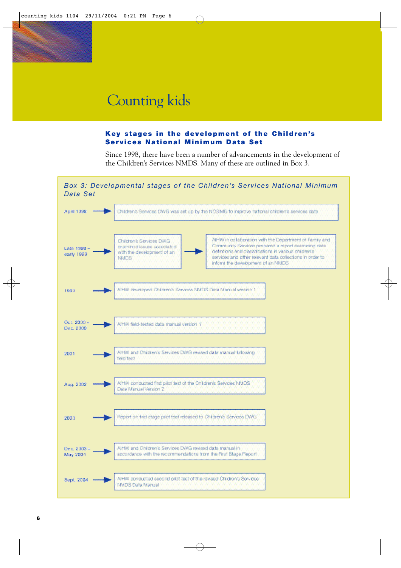### Key stages in the development of the Children's Services National Minimum Data Set

Since 1998, there have been a number of advancements in the development of the Children's Services NMDS. Many of these are outlined in Box 3.

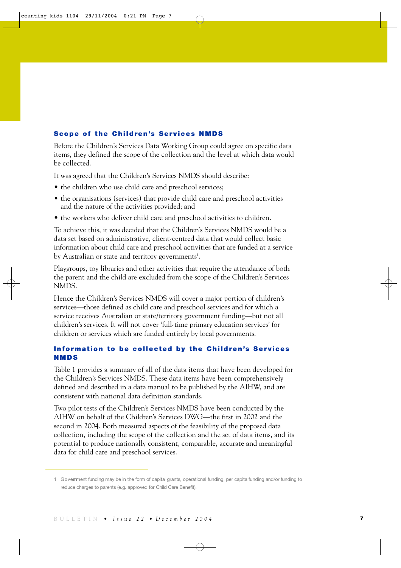#### Scope of the Children's Services NMDS

Before the Children's Services Data Working Group could agree on specific data items, they defined the scope of the collection and the level at which data would be collected.

It was agreed that the Children's Services NMDS should describe:

- the children who use child care and preschool services;
- the organisations (services) that provide child care and preschool activities and the nature of the activities provided; and
- the workers who deliver child care and preschool activities to children.

To achieve this, it was decided that the Children's Services NMDS would be a data set based on administrative, client-centred data that would collect basic information about child care and preschool activities that are funded at a service by Australian or state and territory governments<sup>1</sup>.

Playgroups, toy libraries and other activities that require the attendance of both the parent and the child are excluded from the scope of the Children's Services NMDS.

Hence the Children's Services NMDS will cover a major portion of children's services—those defined as child care and preschool services and for which a service receives Australian or state/territory government funding—but not all children's services. It will not cover 'full-time primary education services' for children or services which are funded entirely by local governments.

#### Information to be collected by the Children's Services NMDS

Table 1 provides a summary of all of the data items that have been developed for the Children's Services NMDS. These data items have been comprehensively defined and described in a data manual to be published by the AIHW, and are consistent with national data definition standards.

Two pilot tests of the Children's Services NMDS have been conducted by the AIHW on behalf of the Children's Services DWG—the first in 2002 and the second in 2004. Both measured aspects of the feasibility of the proposed data collection, including the scope of the collection and the set of data items, and its potential to produce nationally consistent, comparable, accurate and meaningful data for child care and preschool services.

<sup>1</sup> Goverment funding may be in the form of capital grants, operational funding, per capita funding and/or funding to reduce charges to parents (e.g. approved for Child Care Benefit).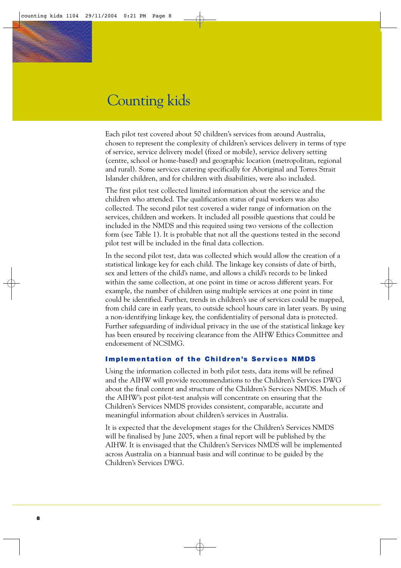Each pilot test covered about 50 children's services from around Australia, chosen to represent the complexity of children's services delivery in terms of type of service, service delivery model (fixed or mobile), service delivery setting (centre, school or home-based) and geographic location (metropolitan, regional and rural). Some services catering specifically for Aboriginal and Torres Strait Islander children, and for children with disabilities, were also included.

The first pilot test collected limited information about the service and the children who attended. The qualification status of paid workers was also collected. The second pilot test covered a wider range of information on the services, children and workers. It included all possible questions that could be included in the NMDS and this required using two versions of the collection form (see Table 1). It is probable that not all the questions tested in the second pilot test will be included in the final data collection.

In the second pilot test, data was collected which would allow the creation of a statistical linkage key for each child. The linkage key consists of date of birth, sex and letters of the child's name, and allows a child's records to be linked within the same collection, at one point in time or across different years. For example, the number of children using multiple services at one point in time could be identified. Further, trends in children's use of services could be mapped, from child care in early years, to outside school hours care in later years. By using a non-identifying linkage key, the confidentiality of personal data is protected. Further safeguarding of individual privacy in the use of the statistical linkage key has been ensured by receiving clearance from the AIHW Ethics Committee and endorsement of NCSIMG.

### Implementation of the Children's Services NMDS

Using the information collected in both pilot tests, data items will be refined and the AIHW will provide recommendations to the Children's Services DWG about the final content and structure of the Children's Services NMDS. Much of the AIHW's post pilot-test analysis will concentrate on ensuring that the Children's Services NMDS provides consistent, comparable, accurate and meaningful information about children's services in Australia.

It is expected that the development stages for the Children's Services NMDS will be finalised by June 2005, when a final report will be published by the AIHW. It is envisaged that the Children's Services NMDS will be implemented across Australia on a biannual basis and will continue to be guided by the Children's Services DWG.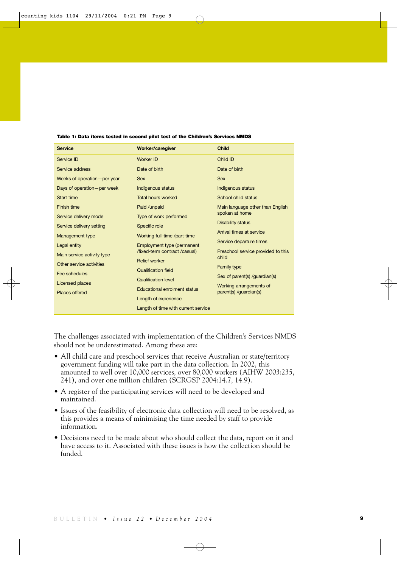| <b>Service</b>                | Worker/caregiver                                                              | <b>Child</b>                                      |
|-------------------------------|-------------------------------------------------------------------------------|---------------------------------------------------|
| Service ID                    | <b>Worker ID</b>                                                              | Child ID                                          |
| Service address               | Date of birth                                                                 | Date of birth                                     |
| Weeks of operation - per year | <b>Sex</b>                                                                    | <b>Sex</b>                                        |
| Days of operation-per week    | Indigenous status                                                             | <b>Indigenous status</b>                          |
| Start time                    | <b>Total hours worked</b>                                                     | School child status                               |
| Finish time                   | Paid /unpaid                                                                  | Main language other than English                  |
| Service delivery mode         | Type of work performed                                                        | spoken at home                                    |
| Service delivery setting      | Specific role                                                                 | <b>Disability status</b>                          |
| Management type               | Working full-time /part-time                                                  | Arrival times at service                          |
| Legal entity                  | <b>Employment type (permanent</b>                                             | Service departure times                           |
| Main service activity type    | /fixed-term contract / casual)<br>Preschool service provided to this<br>child |                                                   |
| Other service activities      | Relief worker                                                                 | Family type                                       |
| Fee schedules                 | <b>Qualification field</b>                                                    |                                                   |
| <b>Licensed places</b>        | Qualification level                                                           | Sex of parent(s) /guardian(s)                     |
| Places offered                | Educational enrolment status                                                  | Working arrangements of<br>parent(s) /quardian(s) |
|                               | Length of experience                                                          |                                                   |
|                               | Length of time with current service                                           |                                                   |

The challenges associated with implementation of the Children's Services NMDS should not be underestimated. Among these are:

- All child care and preschool services that receive Australian or state/territory government funding will take part in the data collection. In 2002, this amounted to well over 10,000 services, over 80,000 workers (AIHW 2003:235, 241), and over one million children (SCRGSP 2004:14.7, 14.9).
- A register of the participating services will need to be developed and maintained.
- Issues of the feasibility of electronic data collection will need to be resolved, as this provides a means of minimising the time needed by staff to provide information.
- Decisions need to be made about who should collect the data, report on it and have access to it. Associated with these issues is how the collection should be funded.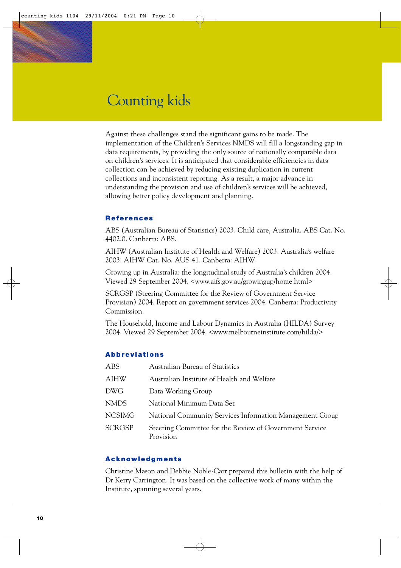Against these challenges stand the significant gains to be made. The implementation of the Children's Services NMDS will fill a longstanding gap in data requirements, by providing the only source of nationally comparable data on children's services. It is anticipated that considerable efficiencies in data collection can be achieved by reducing existing duplication in current collections and inconsistent reporting. As a result, a major advance in understanding the provision and use of children's services will be achieved, allowing better policy development and planning.

#### **References**

ABS (Australian Bureau of Statistics) 2003. Child care, Australia. ABS Cat. No. 4402.0. Canberra: ABS.

AIHW (Australian Institute of Health and Welfare) 2003. Australia's welfare 2003. AIHW Cat. No. AUS 41. Canberra: AIHW.

Growing up in Australia: the longitudinal study of Australia's children 2004. Viewed 29 September 2004. <www.aifs.gov.au/growingup/home.html>

SCRGSP (Steering Committee for the Review of Government Service Provision) 2004. Report on government services 2004. Canberra: Productivity Commission.

The Household, Income and Labour Dynamics in Australia (HILDA) Survey 2004. Viewed 29 September 2004. <www.melbourneinstitute.com/hilda/>

#### **Abbreviations**

| ABS           | <b>Australian Bureau of Statistics</b>                               |
|---------------|----------------------------------------------------------------------|
| <b>AIHW</b>   | Australian Institute of Health and Welfare                           |
| <b>DWG</b>    | Data Working Group                                                   |
| <b>NMDS</b>   | National Minimum Data Set                                            |
| <b>NCSIMG</b> | National Community Services Information Management Group             |
| <b>SCRGSP</b> | Steering Committee for the Review of Government Service<br>Provision |

#### **Acknowledgments**

Christine Mason and Debbie Noble-Carr prepared this bulletin with the help of Dr Kerry Carrington. It was based on the collective work of many within the Institute, spanning several years.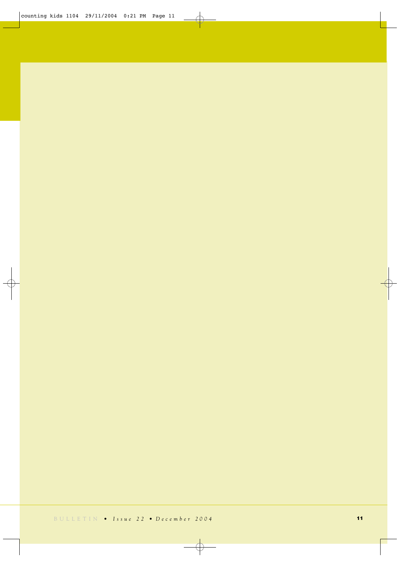<mark></u></mark>

B U L L E T I N • *I s s u e 2 2* • *D e c e m b e r 2 0 0 4* 11